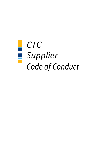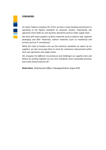#### **FOREWORD**

*At Ceylon Tobacco Company PLC (CTC), we have a long-standing commitment to operating to the highest standards of corporate conduct. Importantly, this approach covers both our own business operations and our wider supply chain.*

*We work with many suppliers of direct materials (such as tobacco leaf, cigarette packaging and filter materials), indirect materials (such as machinery) and services (such as IT consultancy).*

*While this Code of Conduct sets out the minimum standards we expect of our suppliers, we also encourage them to strive for continuous improvement within their own operations and supply chains.*

*We recognize the different circumstances and challenges our suppliers face and believe by working together we can raise standards, drive sustainable practices and create shared value for all."*

**Nedal Salem***, Chief Executive Officer / Managing Director, August 2019*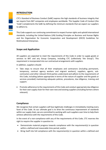

# **INTRODUCTION**

CTC's Standard of Business Conduct (SoBC) express the high standards of business integrity that we require from BAT companies and employees worldwide. This Supplier Code of Conduct (the 'Code') complements the SoBC by defining the minimum standards that we expect our suppliers to adhere to.

This Code supports our continuing commitment to respect human rights and uphold international standards, including the United Nations (UN) Guiding Principles on Business and Human Rights and the Organisation for Economic Cooperation and Development (OECD) Guidelines for Multinational Enterprises.

## **Scope and Application**

All suppliers are expected to meet the requirements of this Code in order to supply goods or services to BAT and any Group Company, including CTC (collectively 'the Group'). This requirement is incorporated into our contractual arrangements with suppliers.

In addition, suppliers should:

- Take steps to ensure that all their employees and contractors (including permanent, temporary, contract agency workers and migrant workers), suppliers, agents, subcontractors and other relevant third parties understand and adhere to the requirements of this Code, including (where appropriate in terms of the nature of supplier and the goods or services provided) maintaining adequate policies, procedures, due diligence, training and support.
- Promote adherence to the requirements of this Code and conduct appropriate due diligence for their own supply chain for their own new and existing suppliers (including farmers where relevant).

# **Compliance**

We recognize that certain suppliers will face legitimate challenges in immediately meeting every facet of this Code. As our ultimate goal is to drive the continuous improvement of standards within our supply chain, we are committed to working with such suppliers over time to help them achieve adherence with the requirements of this Code.

In the event of a non-compliance with any of the requirements of this Code, CTC reserves the right to require the supplier in question to:

- Demonstrate material progress towards compliance with the requirement(s) in question within a defined and reasonable time period; and/or
- Bring itself into full compliance with the requirement(s) in question within a defined and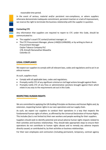reasonable time period.

In the event of serious, material and/or persistent non-compliance, or where suppliers otherwise demonstrate inadequate commitment, persistent inaction or a lack of improvement, we reserve the right to terminate the business relationship with the supplier in question.



#### **Contacting CTC**

Any information that suppliers are required to report to CTC under this Code, should be communicated to:

• The supplier's usual CTC contact/contract manager; or

• The CTC Procurement Manager, phone (+94(0)112496200), or by writing to them at Procurement Manager Ceylon Tobacco Company PLC 178, Srimath Ramanathan Mawatha Colombo 15

## **LEGAL COMPLIANCE**

We expect our suppliers to comply with all relevant laws, codes and regulations and to act in an ethical manner.

As such, suppliers must:

- Comply with all applicable laws, codes and regulations.
- Promptly notify CTC of any significant criminal or civil legal actions brought against them.
- Promptly notify CTC of any fines or administrative sanctions brought against them which relate in any way to the requirements set out in this Code.

#### **RESPECTING HUMAN RIGHTS**

We are committed to applying the UN Guiding Principles on Business and Human Rights and, by extension, respecting human rights in our own operations and our supply chain.

As such, we expect our suppliers to conduct their operations in a way that respects the fundamental human rights of others, as affirmed by the Universal Declaration of Human Rights. This includes (but is not limited to) their own workers and people working for their suppliers.

Suppliers should seek to identify potential and actual adverse human rights impacts related to their activities and business relationships. They should take appropriate steps to ensure their operations do not contribute to human rights abuses and to remedy any adverse impacts directly caused, or contributed to, by their activities or business relationships.

For their own employees and contractors (including permanent, temporary, contract agency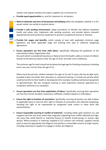workers and migrant workers) we expect suppliers (at a minimum) to:

- **Provide equal opportunities** to, and fair treatment of, all workers
- **Work to eliminate any form of harassment and bullying** within the workplace, whether it is of a sexual, verbal, non-verbal or physical nature.
- **Provide a safe working environment**, adopt procedures to identify and address workplace health and safety risks, implement safe working practices, and provide (where relevant) appropriate personal protective equipment to prevent occupational injuries or illnesses.
- **Provide fair wages and benefits,** which comply at least with applicable minimum wage legislation and other applicable wage and working time laws or collective bargaining agreements.
- **Ensure operations are free from child labour**. Specifically, following the guidelines of the International Labour Organization that:
- Any work which is considered hazardous or likely to harm the health, safety or morals of children should not be done by anyone under the age of 18 (or 16 under strict conditions);
- The minimum age for work should not be below the legal age for finishing compulsory schooling and in any case, not less than the age of 15;
- Where local law permits, children between the ages of 13 and 15 years old may do light work, provided it does not hinder their education or vocational training, or include any activity which could be harmful to their health or development (for example, handling mechanical equipment or agrochemicals). We also recognise training or work experience schemes approved by a competent authority as an exception.
- **Ensure operations are free from exploitation of labour**. Specifically, ensuring their operations are free from forced, bonded, involuntary, trafficked, unlawful migrant or child labour.
- **Ensure the right to freedom of association.** Specifically, ensuring all workers are able (subject to applicable laws) to exercise their right to freedom of association and collective bargaining, including the right to be represented by recognised trade unions or other bona fide representatives.
- **Ensure responsible sourcing of 'conflict of materials'**, including cobalt, gold, tantalum, tin, and tungsten (and the ores from which they originate) originating from conflict-affected and highrisk areas that could directly or indirectly finance or benefit armed groups or human right abuses. Where products or materials supplied to CTC contain such minerals, suppliers should work to exercise appropriate due diligence and perform a reasonable country of origin inquiry, including requiring its suppliers to engage in similar due diligence.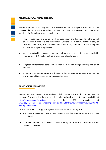

.

## **ENVIRONMENTAL SUSTAINABILITY**

We are committed to pursuing best practice in environmental management and reducing the impact of the Group on the natural environment both in our own operations and in our wider supply chain. As such, we expect suppliers to:

- Identify, understand and actively work towards minimising their impacts on the natural environment. Where relevant, these include (but are not limited to) impacts relating to their emissions to air, water and land, use of materials, natural resource consumption and waste management practices.
- Where practicable, manage, monitor and (where requested) provide available information to CTC relating to their environmental performance.
- Integrate environmental considerations into their product design and/or provision of services.
- Provide CTC (where requested) with reasonable assistance as we seek to reduce the environmental impacts of our products and services.

## **RESPONSIBLE MARKETING**

We are committed to responsible marketing of all our products to adult consumers aged 21 or over. Our marketing is governed by global principles and standards available at <http://www.bat.com/principles> or the CTC website at [www.ceylontobaccocompany.com/group/sites/SRI\\_9PMJN9.nsf/vwPagesWebLive/DO9PM](http://www.ceylontobaccocompany.com/group/sites/SRI_9PMJN9.nsf/vwPagesWebLive/DO9PMKK6?opendocument) [KK6?opendocument](http://www.ceylontobaccocompany.com/group/sites/SRI_9PMJN9.nsf/vwPagesWebLive/DO9PMKK6?opendocument)

As such, we expect our suppliers, agents and third-parties to comply with:

- The relevant marketing principles as a minimum standard where they are stricter than local laws; or
- Local laws or other local marketing codes where they are stricter than, or override, Group marketing principles.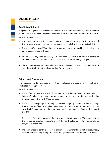

### **BUSINESS INTEGRITY**

## **Conflicts of interest**

Suppliers are required to avoid conflicts of interest in their business dealings and to operate with full transparency with respect to any circumstances where a conflict does, or may, arise.

As such, suppliers must:

- Avoid situations where their personal and/or commercial interests, or the interests of their officers or employees may, or may appear to, conflict with the interests of CTC.
- Disclose to CTC if any CTC employee may have any interest of any kind in their business or any economic ties with them.
- Inform CTC of any situation that is, or may be seen as, an actual or potential conflict of interest as soon as the conflict arises, and to disclose how it is being managed.
- These provisions are not intended to prevent suppliers dealing with CTC's competitors if any where it is legitimate and appropriate for them to do so.

## **Bribery and Corruption**

It is unacceptable for any supplier (or their employees and agents) to be involved or implicated in corrupt practices.

As such, suppliers must:

- Never offer, promise or give any gift, payment or other benefit to any person (directly or indirectly), to induce or reward improper conduct or illegitimately influence any decision by any person to their or CTC's advantage;
- Never solicit, accept, agree to accept or receive any gift, payment or other advantage from any person (directly or indirectly) as a reward or inducement for improper conduct or which influences, or gives the impression that it is intended to influence, decisions of the CTC
- Never make facilitation payments directly or indirectly with regard to CTC business, other than where it is strictly necessary to protect the health, safety or liberty of any employee and/or contractor; and
- Maintain effective controls to ensure that improper payments are not offered, made, solicited or received by third parties performing services for or on their or CTC's behalf.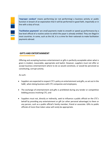

**'Improper conduct'** means performing (or not performing) a business activity or public function in breach of an expectation that it will be performed in good faith, impartially or in line with a duty of trust.

**'Facilitation payments'** are small payments made to smooth or speed up performance by a low-level official of a routine action to which the payer is already entitled. They are illegal in most countries. In some, such as the UK, it is a crime for their nationals to make facilitation payments abroad.

#### **GIFTS AND ENTERTAINMENT**

Offering and accepting business entertainment or gifts is perfectly acceptable when what is given is modest, reasonable, appropriate and lawful. However, suppliers must not offer or accept business entertainment where to do so would constitute, or would be perceived as constituting, corrupt activity.

As such:

- Suppliers are expected to respect CTC's policy on entertainment and gifts, as set out in the SoBC, when doing business with CTC companies and employees;
- The exchange of entertainment and gifts is prohibited during any tender or competitive bidding process involving CTC; and
- Suppliers must not, directly or indirectly, seek to influence a public official on the CTC's behalf by providing any entertainment or gift (or other personal advantage) to them or any person, such as a public official's family member, friend or associate. Gifts to public officials of more than token value will rarely be appropriate.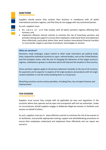

## **SANCTIONS**

Suppliers should ensure they conduct their business in compliance with all lawful international sanctions regimes, and that they do not engage with any sanctioned parties

As such, suppliers must:

- Be aware of, and fully comply, with all lawful sanctions regimes affecting their business; and
- Implement effective internal controls to minimise the risk of breaching sanctions and provide training and support to ensure their employees understand them and implement them effectively, particularly where their work involves international financial transfers or cross-border supply or purchase of products, technologies or services.

#### **What are sanctions?**

Sanctions, trade embargos, export control or other trade restrictions are political trade tools, imposed by individual countries or supra- national bodies, such as the United Nations and the European Union, with the aim of changing the behaviour of the target country's regimes, individuals or groups in a direction which will improve the situation in that country.

Some sanctions regimes apply to US persons (wherever located), to the use of US currency for payments and to exports/ re-exports of US-origin products and products with US-origin content (whether or not the entity handling them is a US person).

Breaching sanctions carries serious penalties, including fines, loss of export licences and imprisonment

#### **TAX EVASION**

Suppliers must ensure they comply with all applicable tax laws and regulations in the countries where they operate and be open and transparent with the tax authorities. Under no circumstances should suppliers engage in deliberate illegal tax evasion or facilitate such evasion on behalf of others.

As such, suppliers must put in place effective controls to minimise the risk of tax evasion or its facilitation, and provide appropriate training, support and whistleblowing procedures to ensure their employees understand and implement them effectively and can report any concerns.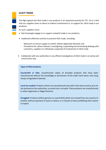## **ILLICIT TRADE**

The fight against the illicit trade in our products is an important priority for CTC. So it is vital that our suppliers have no direct or indirect involvement in, or support for, illicit trade in our products.

As such, suppliers must:

- Not knowingly engage in or support unlawful trade in our products;
- Implement effective controls to prevent illicit trade, including:
	- Measures to ensure supply to market reflects legitimate demand; and
	- Procedures for, where relevant, investigating, suspending and terminating dealings with customers, suppliers or individuals suspected of involvement in illicit trade.
- Collaborate with any authorities in any official investigations of illicit trade in an active and constructive way.

#### **Types of illicit products**

**Counterfeit or fake**: Unauthorised copies of branded products that have been manufactured without the knowledge or permission of the trade mark owner and using cheap unregulated materials.

**Local tax evaded**: Products which are manufactured and sold in the same country, but are not declared to the authorities, so excise tax is not paid. These products are manufactured in either legitimate or illegal factories.

**Smuggled**: Products (either genuine or counterfeit) which are moved from one country to another without payment of taxes or duties, or in breach of laws prohibiting their import or export.